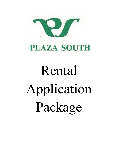

# **PLAZA SOUTH**

# Rental Application Package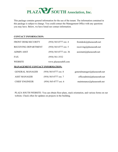

This package contains general information for the use of the tenant. The information contained in this package is subject to change. You could contact the Management Office with any questions you may have. Below, we have listed our contact information.

#### **CONTACT INFORMATION:**

| <b>FRONT DESK/SECURITY</b>             | $(954)$ 565-0777 ext. 4 | frontdesk $@p$ lazasouth.net          |
|----------------------------------------|-------------------------|---------------------------------------|
| RECEIVING DEPARTMENT                   | $(954)$ 565-0777 ext. 5 | receiving@plazasouth.net              |
| <b>ADMIN ASST</b>                      | (954) 565-0777 ext. 36  | $\text{assignment}(a)$ plazasouth.net |
| <b>FAX</b>                             | $(954) 561 - 3532$      |                                       |
| <b>WEBSITE</b>                         | www.plazasouthfl.com    |                                       |
| <b>MANAGEMENT CONTACT INFORMATION:</b> |                         |                                       |
| <b>GENERAL MANAGER</b>                 | $(954)$ 565-0777 ext. 8 | generalmanager@plazasouth.net         |
| <b>ASST MANAGER</b>                    | (954) 565-0777 ext. 7   | officeadmin@plazasouth.net            |
| <b>CHIEF ENGINEER</b>                  | (954) 565-0777 ext. 6   | maintenance@plazasouth.net            |

PLAZA SOUTH WEBSITE: You can obtain floor plans, stack orientation, and various forms on our website. Check often for updates on projects in the building.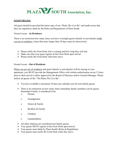# PLAZA SOUTH Association, Inc.

#### **GUEST RULES:**

All guest should be provided the latest copy of our "Rules We Live By" and made aware that they are required to abide by the Rules and Regulations of Plaza South.

#### Owner/Lessee – **In Residence**

There is no restriction how many times you have overnight guests (family or non-family) while you are in residence. Guest that stays longer than 30 days must be interviewed.

- $\triangleright$  Please notify the Front Desk who is coming and how long they will stay
- $\triangleright$  Make sure that your guest register at the Front Desk upon arrival.
- $\triangleright$  Please notify the Front Desk when they leave.

#### Owner/Lessee - **Out of Residents**

When you are out of residence and guest (family or non-family) will be staying in your apartment, you MUST provide the Management Office with written authorization seven (7) days prior to their arrival to allow approval by the Board of Directors and/or General Manager. Please inform all guests of the "The Rules We Live By".

- $\triangleright$  You have available a maximum 30 days per calendar year for non-family guests.
- $\triangleright$  There is no restriction on how many times immediate family members can be guests. Immediate Family is considered to be:
	- o Parents
	- o Grandparents
	- o Sisters & Family
	- o Brothers & Family
	- o Children
	- o Grandchildren
- $\triangleright$  All other relations are considered non-family guests.
- $\triangleright$  Your guests MUST register at the Front Desk upon arrival.
- $\triangleright$  Your guests must abide by Plaza South's Rules & Regulations.
- $\triangleright$  Your guests must notify the Front Desk when they leave.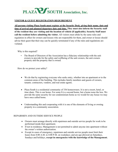# PLAZA SOUTH Association, Inc.

#### **VISITOR & GUEST REGISTRATION REQUIREMENT**

**All persons visiting Plaza South must register at the Security Desk, giving their name, date and time of arrival and planned departure date and time. They must also inform the Security staff of the resident they are visiting and the location of vehicle (if applicable). Security Staff must call the resident before admitting the visitor.** All visitors must abide by the same rules and regulation in effect for owners and lessees who are responsible for them, and owner or lessee should advise their guest that their stay can be quickly terminated if any of the rules and regulations are violated.

Why is this required?

• The Board of Directors of the Association has a fiduciary relationship with the unit owners to provide for the safety and wellbeing of the unit owners, the unit owners property and the property that is owned.

How do we protect your safety?

- We do that by registering everyone who seeks entry, whether into an apartment or to the common areas of the building. This includes family members and guests of owners, tenants. contractors, vendors, and real estate agents.
- Plaza South is a residential community of 336 homeowners. It is not a resort, hotel, or time share. This is our home. For some It is a second home, but a home none the less. We provide the same security for our condominium home as we would for any house we may have once called home.
- Understanding this and cooperating with it is one of the elements of living or owning property in a community association.

#### REPAIRMEN AND OUTSIDE SERVICE PEOPLE

- Owners must arrange directly with repairmen and outside service people for work to be performed inside their apartment.
- If not in residence, Management is not permitted to admit anyone into apartment without the owner's written authorization.
- Except in cases of emergency, repairmen and outside service people must limit their hours from 8:00 A.M. to 4:00 P.M. on weekdays; and are not allowed on Saturdays, Sundays and holidays, **except in emergencies with the knowledge of the Management.**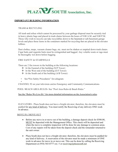

#### **IMPORTANT BUILDING INFORMATION**

#### TRASH & RECYCLING

All trash and refuse which cannot be processed by your garbage disposal must be securely tied in heavy plastic bags and placed in trash chutes between the hours of 9:00 A.M. and 9:00 P.M. Those who wish to recycle can take recyclables down to the basement or sub-basement garage levels and place those items in the containers marked for recycling that are placed in the elevator lobbies.

Dust clothes, mops, vacuum cleaner bags, etc. must not be shaken or emptied down trash chutes. Cigar butts and cigarette butts must be extinguished and bagged. Any volatile waste or rags must be thoroughly wet down before bagging.

#### FIRE SAFETY & STAIRWELLS

There are 2 fire towers in the building at the following locations:

- $\triangleleft$  At the Eastend of the building (N/P Tower)
- $\triangleleft$  At the West end of the building (E/F Tower)
- $\triangleleft$  At the South end of the building (A/B Tower)
- See 'Fire Safety Procedures'' for a diagram
- CHANNEL 92 on your television carries Emergency and Community Communications.

POOL/ BEACH AREA.RULES- See "Pool Area Rules & Beach Rules."

See the "Rules We Live By" for more detailed information on the Association's rules.

ELEVATORS - Plaza South does not have a freight elevator; therefore, the elevators must be padded for any kind of delivery. You must notify the Receiving of any delivery ONE week in advance.

#### MOVE IN *I* MOVE OUT

- Before any move in or move out of the building, a damage deposit check for \$500.00 MUST be deposited with the Management Office. This check will be deposited and when the move is complete inspection will be done for any damage to common areas. Cost of any repairs will be taken from the deposit check and the remainder returned to the unit owner.
- Plaza South does not have a freight elevator; therefore, the elevators must be padded for any kind of delivery. A reservation of the elevator must be made a minimum of ONE week in advance for move in or move out. This can be done by calling the Receiving Department at (954) 565-0777 ext. 5 or [receiving@plazasouth.net](mailto:receiving@plazasouth.net)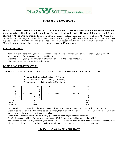

## **FIRE SAFETY PROCEDURES**

**DO NOT REMOVE THE SMOKE DETECTOR IN YOUR UNIT. Removal of the smoke detector will necessitate the Association calling in a technician to locate the open circuit and repair. The cost of this service will then be charged to the apartment owner.** In the event of the fire alarm sounding, please tune your TV to Channel 92**.** Please do not call the Security Desk, as personnel will be investigating the alarm and speaking with the fire department. It will take 5-7 minutes to post a notice on the TV. Until information is posted on the TV, we suggest you step out onto the catwalk to see if smoke is visible. This will assist you in determining the proper staircase you should use if there is a fire.

#### **IN CASE OF FIRE:**

- Turn off your air-conditioning and other appliances, close all doors  $\&$  windows, and prepare to vacate your apartment.
- Wet large towels for each person and take flashlights.
- Close the door to your apartment when you leave and proceed to the nearest fire tower.
- Fire towers are accessed from the exterior catwalk.

#### **DO NOT USE THE ELEVATORS**

#### THERE ARE THREE (3) FIRE TOWERS IN THE BUILDING AT THE FOLLOWING LOCATIONS:

- At the East end of the building  $(N/P$  Tower)
- At the West end of the building  $(E/F)$  Tower)
- At the South end of the building  $(A/B)$  Tower)



- Do not panic. Once you are in a Fire Tower, proceed down the stairway to ground level. Stay with others in groups.
- Close all doors as you exit. If you must go up a stairway, there is an exit door on the Roof level. Once on the roof, you can stay there or go down a second stairway at the other end.
- In the event of electrical failure, the emergency generator will supply lighting in the staircases.
- **Familiarize yourself with the fire stairways in advance. Walk the staircases and become familiar with them.**
- The Bedroom or Den door of your unit is your second Fire Exit. Be sure the doors are operational in advance of an emergency.
- **Please contact the Management office if you have questions or suggestions on Fire Evacuation procedures.**

# **Please Display Near Your Door**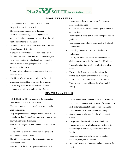

# **POOL AREA RULES**

- SWIMMING IS AT YOUR OWN RISK. No lifeguards are on duty at any time.
- The pool is open from dawn to dusk daily.
- Children under ten (10) years of age must be supervised and accompanied by an adult, or they will not be permitted to use the pool.
- Children not toilet trained must wear leak proof swim diapers(such as Swimmies).
- A shower is required as per Florida Statute 64 E Sections 7 & 9 each time a swimmer enters the pool.
- Swimmers coming from the beach are required to shower before entering the pool even if they showered at the beach.
- No one with an infectious disease or diarrhea may enter the pool.
- No objects of any kind are permitted in the pool, except one float aid that is held by the swimmer.
- No one may enter the lobby, elevators or other common areas with wet bathing attire. Cover-

ups/shirts and footwear are required in elevators, halls, and lobby areas.

- Owners should limit the number of guests invited at any one time.
- Running and playing games around the pool area are prohibited.
- Lounges and chairs should be covered with a towel before using.
- Reserving lounges or other patio furniture is prohibited.
- Security may remove articles left unattended on chairs, lounges, or tables for more than 20 minutes.
- The depth safety line must be re-attached if taken down.
- Use of audio devices at excessive volume is prohibited. Personal earphone use is encouraged.
- FOOD IS NOT ALLOWED AT POOL AREA. There are designated tables on the West Deck for eating.

# **BEACH AREA RULES**

- NO LIFE-GUARDS are on duty at the beach at any time. SWIM AT YOUR OWN RISK.
- Chairs and lounges on the beach patio are not to be used on the sand.
- Only designated chairs/lounges, marked Plaza South, are to be used on the sand and must be returned to the sea wall area when done using.
- Food and beverages are permitted on the beach patio and beach.
- GLASS ITEMS are not permitted on the patio and should not be used on the sand.
- The sliding access door to the beach patio must be locked at all times.
- Do not unlock the door for persons unknown to you.
- Kayak/Paddle Board Space Rental: Plaza South has made an accommodation for storage of water devices such as kayaks, paddle boards or surf boards. No water devices are to be stored in the building.
- Storage space can be rented at the Management Office.
- The portion of the beach that is condominium property is subject to all rules pertaining to guest or visitor usage as previously expressed or implied herein.
- Cover-ups/shirts and footwear are required in elevators, halls, and lobby areas.
- A city ordinance prohibits dogs and other pets on the beach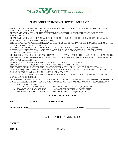

#### **PLAZA SOUTH RESIDENT APPLICATION FOR LEASE**

- THIS APPLICATION AND THE ATTACHED APPLICATION FOR APPROVAL MUST BE COMPLETEDIN DETAIL BY THE PROPOSED LESSEE(S).
- PLEASE ATTACH A COPY OF THE EXECUTED LEASE CONTRACT/DEPOSIT CONTRACT TOTIBS APPLICATION.
- PLEASE ATTACH A NON-REFUNDABLE PROCESSING FEE OF \$100.00 TO THIS APPLICATION, MADE PAYABLE TO: PLAZA SOUTH ASSOCIATION, INC.
- THE COMPLETED APPLICATION PACKAGE MUST BE SUBMITTED TO THE GENERAL MANAGER'S OFFICE 30 DAYS PRIOR TO LEASE START DATE.
- ALL APPLICANTS MUST BE INTERVIEWED PERSONALLY BY THE MEMBERSHIP COMMITTEE.
- OCCUPANCY PRIOR TO FINAL APPROVAL OF THE BOARD OF DIRECTORS IS NOT PERMITTED.
- NO PETS ALLOWED AT ANY TIME.
- PROPOSED LESSEE(S) UNDERSTAND THAT NO FINAL PAYMENT FOR THE LEASE SHOULD BE MADE TO THE PRESENT OWNER(S) OR THEIR AGENT UNTIL TIIIS APPLICATION HAS BEEN APPROVED BY PLAZA SOUTH ASSOCIATION, INC.
- LESSEE(S) MUST BE MEMBERS OF ONE FAMILY OR A SINGLE PERSON. A SINGLE FAMILY IS A HUSBAND AND WIFE AND THEIR IMMEDIATEFAMILY.
- THE OWNER SHALL PROVIDE THE LESSEE(S) WITH A COPY OF ALL RULES & REGULATIONS.
- ONLY ONE (1) ASSIGNED PARKING SPACE AVAILABLE PER APARTMENT. I/WE AGREE TO ACCEPT THE GARAGE SPACE THAT IS ASSIGNED TO THIS APARTMENT. -
- NO COMMERCIAL VEHICLES, BOATS, TRAILERS, RV's, PICK UP TRUCKS, ETC. PERMITTED ON THE CONDOMINIUM PREMISES.
- MOVING OF FURNITURE IN OR OUT OF AN APARTMENT IS NOT PERMITTED ON SATURDAYS, SUNDAYS, OR HOLIDAYS. HOURS FOR MOVING ARE FROM 8:00 A.M. TO 4:00 P.M., MONDAY THROUGHFRIDAY.
- OCCUPANCY REGULATIONS:
	-
	- o ONE BEDROOM APARTMENT NO MORE THAN THREE (3) OCCUPANTS.<br>
	o TWO BEDROOM APARTMENT NO MORE THAN FOUR (4) OCCUPANTS.
	- o TWO BEDROOM APARTMENT NO MORE THAN FOUR (4) OCCUPANTS.<br>
	o THREE BEDROOM APARTMENT NO MORE THAN SIX (6) OCCUPANTS. - NO MORE THAN SIX (6) OCCUPANTS.

#### **PLEASE PRINT OR TYPE**

| NAME OF PROSPECTIVE LESSEE(S):                                                                                                                                                                                                 |  |
|--------------------------------------------------------------------------------------------------------------------------------------------------------------------------------------------------------------------------------|--|
|                                                                                                                                                                                                                                |  |
| PHONE: New York Contract of the Contract of the Contract of the Contract of the Contract of the Contract of the Contract of the Contract of the Contract of the Contract of the Contract of the Contract of the Contract of th |  |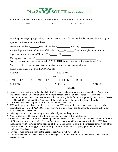

#### ALL PERSONS WHO WILL OCCUY THE APARTMENT FOR 30 DAYS OR MORE.

|    | <b>NAME</b>                                                                                                         | AGE | <b>RELATIONSHIP</b>                                                                                                   |  |
|----|---------------------------------------------------------------------------------------------------------------------|-----|-----------------------------------------------------------------------------------------------------------------------|--|
|    |                                                                                                                     |     | <u> 1989 - Johann Harry Harry Harry Harry Harry Harry Harry Harry Harry Harry Harry Harry Harry Harry Harry Harry</u> |  |
|    | 1. In making the foregoing application, I represent to the Board of Directors that the purpose of the leasing of an |     | <u> 1990 - Johann Stein, marwolaethau a bhann an t-Amhainn an t-Amhainn an t-Amhainn an t-Amhainn an t-Amhainn an</u> |  |
|    | apartment at Plaza South is as follows:                                                                             |     |                                                                                                                       |  |
|    |                                                                                                                     |     |                                                                                                                       |  |
|    | 2. Are you legal resident(s) of the State of Florida? Yes No If not, do you plan to establish your                  |     |                                                                                                                       |  |
|    |                                                                                                                     |     |                                                                                                                       |  |
|    | 3. Will you be residing elsewhere than at PLAZA SOUTH during some part of the calendar year? Yes                    |     |                                                                                                                       |  |
|    | No If so, please indicated approximate period and give details as follows:                                          |     |                                                                                                                       |  |
|    |                                                                                                                     |     |                                                                                                                       |  |
|    | ADDRESS PHONE NO.                                                                                                   |     |                                                                                                                       |  |
|    | CITY STATE ZIP                                                                                                      |     |                                                                                                                       |  |
| 4. |                                                                                                                     |     |                                                                                                                       |  |
|    | COMPANY POSITION ADDRESS                                                                                            |     |                                                                                                                       |  |
|    | <u>CITY STATE</u>                                                                                                   |     |                                                                                                                       |  |

- 5. I/We hereby agree for myself and on behalf of all persons who may use the apartment which I/We seek to lease that I/We will abide by all of the restrictions contained in the by-laws, Rules & Regulations, Condominium Documents, and restrictions which are or may in the future be imposed by the PLAZA SOUTH ASSOCIATION, INC., and the Provisions of the Condominium Statutes of the State of Florida.
- 6. I/WE have received a copy of the Rules & Regulations: Yes  $\,$  No ---
- 7. I/We understand there is a restriction on pets and that I/We may not have a pet nor may any guest, visitor or tenant bring a pet into PLAZA SOUTH nor may I/We acquire one, either temporarily or permanently after IJW e occupy the apartment.
- 8. I/We agree to accept the garage space which is assigned to this apartment.
- 9. No applications will be approved without a personal interview with all applicants.
- 10. When the Membership Committee has completed the interview, it will make its recommendation to the Board of Directors at the next scheduled Directors' meeting. A decision will be rendered within thirty (30) days. Applicant(s) will be notified of the decision of the Board of Directors after the Board receives the report of the Membership Committee. No furniture delivery will be accepted, nor occupancy permitted until the applicant(s) has been advised of approval.
- 11. Owner(s) must furnish a copy of the Lease to the Plaza South Association.
- 12. Owners must assume the responsibility for damage to common areas caused by themselves, their relatives, guests, or tenants.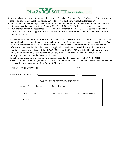

- 13. It is mandatory that a set of apartment keys and car keys be left with the General Manager's Office for use in case of an emergency. Applicant hereby agrees to provide such keys without further request.
- 14. I/We understand that the physical condition of the apartment at the time of occupancy transfer and thereafter is in no respect the responsibility of PLAZA SOUTH ASSOCIA TJON, INC., or the management.
- 15. I/We understand that the acceptance for lease of an apartment at PLAZA SOUTH is conditioned upon the truth and accuracy of this application and upon the approval of the Board of Directors. Occupancy prior to approval is prohibited.

I/We understand that the Board of Directors of the PLAZA SOUTH ASSOCIATION, INC., may cause to be instituted such an investigation of my/our background as the Board may deem necessary. Accordingly, I/We specifically authorize the Board of Directors or their agent to make such investigation and agree that the information contained in this and the attached application may be used in such investigation, and that the Board of Directors and Officers of the PLAZA SOUTH ASSOCIATION itself shall be held harmless from any action or claim by me/us in connection with the use of the information contained herein or any investigation conducted by the Board of Directors.

In making the foregoing application, I/We am/are aware that the decision of the PLAZA SOUTH ASSOCIATION will be final, and no reason will be given for any action taken by the Board. I/We agree to be governed by the determination of the Board of Directors.

APPLICANT'S SIGNATURE DATE

| APPLICANT'S SIGNATURE |  |
|-----------------------|--|
|                       |  |

| FOR BOARD OF DIRECTORS USE ONLY |              |                  |                  |
|---------------------------------|--------------|------------------|------------------|
| Approved ()                     | Denied $( )$ |                  |                  |
| <b>Board Member</b>             |              | Committee Member | Committee Member |
|                                 |              |                  |                  |
|                                 |              |                  |                  |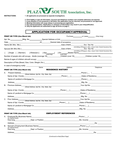

**INSTRUCTIONS: 1 -All applicants are processed as separate investigations.**

- **2 -Print legibly or type all information. Account and telephone numbers and complete addresses arerequired.**
- **3 -If any question is not answered or left blank, this application may be returned, not processed or not approved.**
- **4 -Missing information will cause delays in processing your application.**
- **5 -Any misrepresentation, falsification or omission of information may result in your disqualification.**
- **6- Only the applicants are authorized to sign all forms on page 2.**

## APPLICATION FOR OCCUPANCY/APPROVAL

|    | <b>PRINT OR TYPE (Use Black Ink)</b>                                                                                                                                                                                                                          |                                                                                                                       |                                                                                                            |
|----|---------------------------------------------------------------------------------------------------------------------------------------------------------------------------------------------------------------------------------------------------------------|-----------------------------------------------------------------------------------------------------------------------|------------------------------------------------------------------------------------------------------------|
|    | Apt. No. ________________Bldg. No. ________________Special Address or Unit ___________                                                                                                                                                                        |                                                                                                                       |                                                                                                            |
|    |                                                                                                                                                                                                                                                               |                                                                                                                       |                                                                                                            |
|    |                                                                                                                                                                                                                                                               |                                                                                                                       |                                                                                                            |
|    |                                                                                                                                                                                                                                                               |                                                                                                                       | (mm/dd/yy) (Passport, Alien, Green Card, Social Insurance No.)                                             |
|    | [ ] Single. [ ] Married [ ] Widow(er) [ ] Sep. [ ] Div. Maiden Name<br>Number of people who will occupy. Adults (overage 18) Children (over 18) Children (under 18)                                                                                           |                                                                                                                       | (mm/dd/yy) (Passport, Alien, Green Card, Social Insurance No.)                                             |
|    |                                                                                                                                                                                                                                                               |                                                                                                                       |                                                                                                            |
|    | Description of Pets (Breed, Size, Color, Weight, Etc.) <b>Contract Contract Contract Contract Contract Contract Contract Contract Contract Contract Contract Contract Contract Contract Contract Contract Contract Contract Cont</b>                          |                                                                                                                       |                                                                                                            |
|    | In case of emergency notify: ______________                                                                                                                                                                                                                   |                                                                                                                       |                                                                                                            |
|    | Name                                                                                                                                                                                                                                                          | Address                                                                                                               | Telephone                                                                                                  |
|    | <b>PRINT OR TYPE (Use Black Ink)</b>                                                                                                                                                                                                                          | <b>RESIDENCE HISTORY</b>                                                                                              |                                                                                                            |
| А. |                                                                                                                                                                                                                                                               |                                                                                                                       | <b>Example 19 Service Phone (CCC)</b>                                                                      |
|    | Name of Apt. /Condo                                                                                                                                                                                                                                           |                                                                                                                       |                                                                                                            |
|    |                                                                                                                                                                                                                                                               |                                                                                                                       |                                                                                                            |
|    |                                                                                                                                                                                                                                                               |                                                                                                                       |                                                                                                            |
|    | B. Previous Address_<br>(Street Address, Apt No., City, State, Zip)                                                                                                                                                                                           | <u> 1989 - Johann Barbara, martin amerikan basar dan basa dan basa dan basa dalam basa dalam basa dalam basa dala</u> | Vour Apt No. ________________________                                                                      |
|    |                                                                                                                                                                                                                                                               |                                                                                                                       |                                                                                                            |
|    |                                                                                                                                                                                                                                                               |                                                                                                                       | Dates of Residency_________________                                                                        |
|    |                                                                                                                                                                                                                                                               |                                                                                                                       |                                                                                                            |
|    |                                                                                                                                                                                                                                                               |                                                                                                                       | _Mtg. No. ______________________________                                                                   |
|    |                                                                                                                                                                                                                                                               |                                                                                                                       |                                                                                                            |
|    |                                                                                                                                                                                                                                                               |                                                                                                                       | Dates of Residency___________________                                                                      |
|    |                                                                                                                                                                                                                                                               |                                                                                                                       | $\boxed{\text{Phone} \left( \begin{array}{c} \text{}\\ \text{}\\ \text{}\\ \text{}\\ \end{array} \right)}$ |
|    |                                                                                                                                                                                                                                                               |                                                                                                                       |                                                                                                            |
|    | <b>PRINT OR TYPE (Use Black Ink)</b>                                                                                                                                                                                                                          | <b>EMPLOYMENT REFERENCES</b>                                                                                          |                                                                                                            |
| А. | Employed By (Business Name)<br><u>Employed By (Business Name)</u>                                                                                                                                                                                             |                                                                                                                       | _Phone (___) _________________________                                                                     |
|    | (or retired from)<br>How long <u>Andrea Community Dept.</u> or Position                                                                                                                                                                                       |                                                                                                                       |                                                                                                            |
|    | Address                                                                                                                                                                                                                                                       |                                                                                                                       |                                                                                                            |
| В. |                                                                                                                                                                                                                                                               |                                                                                                                       |                                                                                                            |
|    | (or retired from)<br><u>Dept.</u> or Position <b>Depted by Dept.</b> On the Contract of the Contract of the Contract of the Contract of the Contract of the Contract of the Contract of the Contract of the Contract of the Contract of the Contract of the C |                                                                                                                       | Mo. Income _____________________                                                                           |
|    | Address                                                                                                                                                                                                                                                       |                                                                                                                       |                                                                                                            |

*(Continued on Back/Next Page)*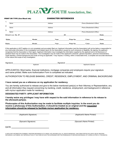

#### PRINT OR TYPE (Use Black Ink) CHARACTER REFERENCES

| 1.               |                      |       |         |           |                              |       |  |
|------------------|----------------------|-------|---------|-----------|------------------------------|-------|--|
|                  | Name                 |       | Address |           | Phone (Residential & Office) |       |  |
| $\overline{2}$ . |                      |       |         |           |                              |       |  |
|                  | Name                 |       | Address |           | Phone (Residential & Office) |       |  |
| 3.               |                      |       |         |           |                              |       |  |
|                  | Name                 |       | Address |           | Phone (Residential & Office) |       |  |
|                  | Driver's Lic. No. #1 |       |         | #2        |                              | State |  |
| Make             |                      | Model | Year    | Plate No. | Color                        | State |  |
| Make             |                      | Model | Year    | Plate No. | Color                        | State |  |

If this application is NOT legible or is not completely and accurately filled out, Applicant Information (and the Association) will not be liable or responsible for any inaccurate information in the investigation and related report (to the Association) caused by such omissions or illegibility. By signing, the applicant recognizes that the Association or their agent, Applicant Information may investigate the information supplied by the applicant and a full disclosure of pertinent facts may be made to the Association. The investigation may be made of the applicant's character, general reputation, personal characteristics, credit standing, criminal background and mode of living as applicable. I may request, in writing, within a reasonable time, a complete and accurate disclosure of the nature and scope of any investigation.

| Signature | Siɑnature          |
|-----------|--------------------|
| Applicant | Applicant's Spouse |

APPLICANT(S): Most banks, financial institutions, mortgage companies and employers require your signature and name printed. Make sure Authorization Form is completed as indicated.

AUTHORIZATION TO RELEASE BANKING, CREDIT, RESIDENCE, EMPLOYMENT, AND CRIMINAL BACKGROUND

#### **I have named you as a reference on my application for residency.**

You are hereby authorized to release and give to the below mentioned party(s) or their Attorney or Representative, any and all information they request concerning my banking, credit, residence, employment, and background in reference with my/our application made for residency.

#### **DESIGNATED PARTY: APPLICANT INFORMATION**

**I hereby waive any privileges I may have with respect to the said information in reference to its release to the aforesaid party(s).**

#### **Photocopies of this Authorization may be made to facilitate multiple inquiries. In the event you do receive a photocopy of this Authorization, it should be treated as an original and the requested information should be released to facilitate my/our application for residency.**

(Applicant's Signature) (Applicant's Name Printed)

(Spouse's Signature) (Spouse's Name Printed)

DATE

© APPLICANT INFORMATION (FORMERLY RENTERS REFERENCE OF FLORIDA) 1979. REVISED 2016. ALL RIGHTS RESERVED. THlS FORM FORTHE EXCLUSIVE USE BY RENTERS REFERENCE CUSTOMERS. ANY REPRODUCTION OF THlS FORM WITHOUTTHE EXPRESSED WRITTEN PERMISSION OF RENTERS REFERENCE OF FLORIDA IS STRICTLY PROHIBITED.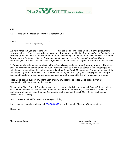

Date: \_\_\_\_\_\_\_\_\_\_\_\_\_\_\_\_\_\_\_\_\_\_\_

RE: Plaza South - Notice of Tenant of 2 Bedroom Unit

Dear : \_\_\_\_\_\_\_\_\_\_\_\_\_\_\_\_\_\_\_\_\_\_\_\_\_\_\_\_\_\_\_\_\_\_: *(Tenant's Signature)* 

We have noted that you are renting unit **Example 20 at Plaza South. The Plaza South Governing Documents** lists your unit as a 2-bedroom allowing no more than 4 permanent residents. *A personal (face to face) interview including all lessees must be completed before approval can be given and the approval letter which is needed for your closing be issued. Please allow ample time to schedule your interview with the Plaza South Membership Committee. The Certificate of Approval will not be issued and signed in advance of the interview.*

\*\*\*Please be advised that every unit within Plaza South is only assigned **one (1) parking space\*\*\*** Therefore, only 1 vehicle may be parked at Plaza South. Additional vehicles may not be parked within the garages or outside parking lots without the written authorization from Plaza South Management. Permanent parking at the outside parking lot is not permitted. Plaza South has the right to re-assign your parking space and storage space and therefore the parking and storage spaces currently assigned to this unit are subject to change.

Plaza South cannot support any information or allow any postings on Plaza South property that are in contention with our governing documents.

Please notify Plaza South 1-2 weeks advance notice prior to scheduling your Move In/Move Out. In addition, Plaza South does not allow any moves or contractor work on Federal holidays. In addition, no moves or contractor work are permitted from the 2nd Monday each December through MLK, Jr. Day each January please plan accordingly.

Lastly, please note that Plaza South is a no pet building.

If you have any questions, please call [954-565-0607](tel:954-565-0607) option 7 or email officeadmin@plazasouth.net.

Thank you,

Management Team and the state of the state of the Management Team and the Management of the Management of the M

 $\_$ *(Tenant's Signature)*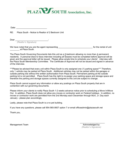

Date: \_\_\_\_\_\_\_\_\_\_\_\_\_\_\_\_\_\_\_\_\_\_\_\_\_\_

RE: Plaza South - Notice to Realtor of 2 Bedroom Unit

Dear \_\_\_\_\_\_\_\_\_\_\_\_\_\_\_\_\_\_\_\_\_\_\_\_\_\_\_\_\_\_\_\_:

*(Realtor's Signature)*

We have noted that you are the agent representing \_\_\_\_\_\_\_\_\_\_\_\_\_\_\_\_\_\_\_\_\_\_\_\_\_\_\_\_\_ for the rental of unit \_\_\_\_\_\_\_\_ at Plaza South.

The Plaza South Governing Documents lists this unit as a 2-bedroom allowing no more than 4 permanent residents. A personal (face to face) interview including all lessees must be completed before approval will be given and the approval letter will be issued. Please allow ample time to schedule your clients' interview with the Plaza South Membership Committee. The Certificate of Approval will not be issued and signed in advance of the interview.

\*\*\*Please be advised that every unit within Plaza South is only assigned one (1) parking space\*\*\* Therefore, only 1 vehicle may be parked at Plaza South. Additional vehicles may not be parked within the garages or outside parking lots without the written authorization from Plaza South. Permanent parking at the outside parking lot is not permitted. Plaza South has the right to re-assign your parking space and storage space and therefore the parking and storage spaces currently assigned to this unit are subject to change.

Plaza South cannot support any information or allow any postings on Plaza South property that are in contention with our governing documents.

Please inform your clients to notify Plaza South 1-2 weeks advance notice prior to scheduling a Move In/Move Out. In addition, Plaza South does not allow any moves or contractor work on Federal holidays. In addition, no moves or contractor work are permitted from the 2nd Monday each December through MLK, Jr. Day each January - please plan accordingly.

Lastly, please note that Plaza South is a no pet building.

If you have any questions, please call 954-565-0607 option 7 or email officeadmin@plazasouth.net

Thank you,

 $\mathcal{L}_\text{max}$  and  $\mathcal{L}_\text{max}$  and  $\mathcal{L}_\text{max}$ Management Team **Acknowledged by:** Acknowledged by: *(Realtor's Signature)*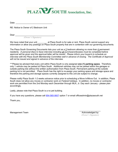

Date: \_\_\_\_\_\_\_\_\_\_\_\_\_\_\_\_\_\_\_\_\_\_\_\_\_\_\_\_\_\_\_

RE: Notice to Owner of 2 Bedroom Unit

Dear \_\_\_\_\_\_\_\_\_\_\_\_\_\_\_\_\_\_\_\_\_\_\_\_\_\_\_\_\_\_\_\_\_,

*(Owner's Signature)*

We have noted that your unit **Example 20** at Plaza South is for sale or rent. Plaza South cannot support any information or allow any postings on Plaza South property that are in contention with our governing documents.

The Plaza South Governing Documents lists your unit as a 2 bedroom allowing no more than 4 permanent residents. *A personal (face to face) interview including all purchasers/lessees must be completed before approval will be given and the approval letter will be issued. Please inform your buyer/s to schedule an interview with the Plaza South Membership Committee well in advance of closing. The Certificate of Approval will not be issued and signed in advance of the interview.*

\*\*\*Please be advised that every unit within Plaza South is only assigned **one (1) parking space.** Therefore, only 1 vehicle may be parked at Plaza South. Additional vehicles may not be parked within the garages or outside parking lots without the written authorization from Plaza South. Permanent parking at the outside parking lot is not permitted. Plaza South has the right to re-assign your parking space and storage space and therefore the parking and storage spaces currently assigned to this unit are subject to change.

Please notify Plaza South 1-2 weeks advance notice prior to scheduling a Move In/Move Out. In addition, Plaza South does not allow any moves or contractor work on Federal holidays. In addition, no moves or contractor work are permitted from the 2nd Monday each December through MLK, Jr. Day each January - please plan accordingly.

Lastly, please note that Plaza South is a no pet building.

If you have any questions, please call [954-565-0607](tel:954-565-0607) option 7 or email officeadmin@plazasouth.net

Thank you,

Management Team and the state of the state of the state of the Acknowledged by:

\_\_\_\_\_\_\_\_\_\_\_\_\_\_\_\_\_\_  *(Owner's Signature)*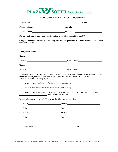

#### **PLAZA SOUTH RESIDENT INFORMATION SHEET**

|    |                                                                | Lessee Name: Unit #:                                                                                                                                                                                                                                                                                                                     |  |  |
|----|----------------------------------------------------------------|------------------------------------------------------------------------------------------------------------------------------------------------------------------------------------------------------------------------------------------------------------------------------------------------------------------------------------------|--|--|
|    |                                                                | <b>Primary Phone:</b> Secondary:                                                                                                                                                                                                                                                                                                         |  |  |
|    |                                                                |                                                                                                                                                                                                                                                                                                                                          |  |  |
|    |                                                                | Do you want your primary contact information in the Plaza South Directory? Y________________________                                                                                                                                                                                                                                     |  |  |
|    |                                                                | Complete Name & Address if you want any dues or correspondence from Plaza South to be sent other<br>than unit address: <u>the contract of the contract of the contract of the contract of the contract of the contract of the contract of the contract of the contract of the contract of the contract of the contract of the contra</u> |  |  |
|    | <b>Emergency Contacts:</b>                                     |                                                                                                                                                                                                                                                                                                                                          |  |  |
|    |                                                                | Name: Name:                                                                                                                                                                                                                                                                                                                              |  |  |
|    |                                                                | Phone #: <b>Relationship:</b> Relationship:                                                                                                                                                                                                                                                                                              |  |  |
|    |                                                                | Name: Name and the second state of the second state of the second state of the second state of the second state of the second state of the second state of the second state of the second state of the second state of the sec                                                                                                           |  |  |
|    |                                                                | Phone #: Relationship: Relationship:                                                                                                                                                                                                                                                                                                     |  |  |
|    | Vehicles Keys/Means of Entry, pg. 3                            | YOU MUST PROVIDE ADVANCE NOTICE by email to the Management Office for any/all whom you<br>authorize to enter your unit. Please refer to the "Rules We Live By" of Plaza South Association, Inc.,                                                                                                                                         |  |  |
|    |                                                                | I agree to leave a working set of keys to my unit with Security                                                                                                                                                                                                                                                                          |  |  |
|    | I agree to leave a working set of keys to my car with Security |                                                                                                                                                                                                                                                                                                                                          |  |  |
|    | and available for Security.                                    | I agree to leave a working set of keys to my car in mu apartment (must specify where in the unit)                                                                                                                                                                                                                                        |  |  |
|    |                                                                | Lessees who have a vehicle MUST provide the following information:                                                                                                                                                                                                                                                                       |  |  |
|    |                                                                |                                                                                                                                                                                                                                                                                                                                          |  |  |
|    | Color:                                                         | Tag:                                                                                                                                                                                                                                                                                                                                     |  |  |
| 2. | Make:                                                          |                                                                                                                                                                                                                                                                                                                                          |  |  |
|    |                                                                |                                                                                                                                                                                                                                                                                                                                          |  |  |
|    |                                                                | $\Delta$ Date: $\Delta$                                                                                                                                                                                                                                                                                                                  |  |  |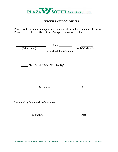

# **RECEIPT OF DOCUMENTS**

Please print your name and apartment number below and sign and date the form. Please return it to the office of the Manager as soon as possible.

| I. | Unit #<br>(Print Name)<br>have received the following: | a<br>(# BDRM) unit, |
|----|--------------------------------------------------------|---------------------|
|    | Plaza South "Rules We Live By"                         |                     |
|    | Signature                                              | Date                |
|    | Reviewed by Membership Committee:                      |                     |

Signature Date

 $\overline{\phantom{a}}$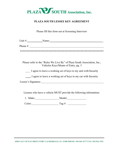

# **PLAZA SOUTH LESSEE KEY AGREEMENT**

Please fill this form out at Screening Interview

|              | Unit #: Name: Name:                                                                                             |
|--------------|-----------------------------------------------------------------------------------------------------------------|
| Phone $\#$ : |                                                                                                                 |
|              |                                                                                                                 |
|              |                                                                                                                 |
|              | Please refer to the "Rules We Live By" of Plaza South Association, Inc.,<br>Vehicles Keys/Means of Entry, pg. 3 |
|              | I agree to leave a working set of keys to my unit with Security                                                 |
|              | I agree to leave a working set of keys to my car with Security                                                  |
|              | Lessee's Signature:                                                                                             |
|              |                                                                                                                 |
|              | Lessees who have a vehicle MUST provide the following information:                                              |
| 1. Make:     | Model:                                                                                                          |

Color: Tag #: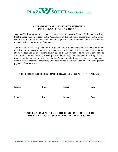

#### **ADDENDUM TO ALL LEASES FOR RESIDENCY IN THE PLAZA SOUTH ASSOCIATION**

As part of the lease approval process, each owner and each proposed lessee shall agree, in writing, that the lessee shall pay directly to the Association, on demand, rental payments due to the owner, should the unit owner become delinquent in payment of any assessment due the Association pursuant to the Condominium Documents.

The Association shall be granted the full right and authority to demand and receive the entire rent due from the lessee(s) or renter(s), and deduct from the rent all interest, late fees, costs and attorney's fees and all assessments, if any, due to the Association. The balance, if any, shall be forwarded to the unit owner(s) at such place as the owner(s) may designate in writing. At such time as the delinquency no longer exists, the Association shall cease to demand any payments directly from the lessee(s) or renter(s), until such time as the owner(s) again become delinquent in payment of assessments.

#### **THE UNDERSINGED IS IN COMPLETE AGREEMENT WITH THE ABOVE**

**Lessee Date Lessee Date**

**Lessee Date Lessee Date**

#### **ADOPTED AND APPROVED BY THE BOARD OF DIRECTORS OF THE PLAZA SOUTH ASSOCIATION, INC. ON MAY 5, 2002.**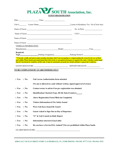

**GUEST REGISTRATION**

|                  | Date: $\qquad \qquad \text{Time:} \qquad \qquad$                                                                      |                                                                                                                                                                                                                                                        |
|------------------|-----------------------------------------------------------------------------------------------------------------------|--------------------------------------------------------------------------------------------------------------------------------------------------------------------------------------------------------------------------------------------------------|
|                  |                                                                                                                       | Unit # Lessee Name: Lessee Name: Lessee in Residence Yes / No (Circle one)                                                                                                                                                                             |
|                  | Name of Guest: Name of Guest:                                                                                         |                                                                                                                                                                                                                                                        |
|                  |                                                                                                                       |                                                                                                                                                                                                                                                        |
|                  |                                                                                                                       |                                                                                                                                                                                                                                                        |
|                  |                                                                                                                       |                                                                                                                                                                                                                                                        |
|                  | VEHICLE INFORMATION:                                                                                                  |                                                                                                                                                                                                                                                        |
|                  |                                                                                                                       | Manufacturer Year Manufacturer Year Manufacturer Next State Media Next State Media Next State Media Next State Media Next State Media Next State Media Next State Media Next State Media Next State Media Next State Media Nex                         |
| <b>Required:</b> |                                                                                                                       | Tag# Tag Parking Assignment  Tag Permit # Tag Permit # Tag Permit # Tag Permit # Tag Permit # Tag Permit # Tag Permit # Tag Permit # Tag Permit # Tag Permit # Tag Permit # Tag Permit # Tag Permit # Tag Permit # Tag Permit                          |
|                  | that if I am found in violation of this rule, it may be automatic grounds for denial of future request for residency. | **I hereby certify and attest under penalty of perjury that I am not paying or compensating the owner(s) for use of their<br>unit within Plaza South and understand that short term or unregistered tenancy is against the rules. I further understand |
|                  |                                                                                                                       |                                                                                                                                                                                                                                                        |

#### **TO BE COMPLETED BY GUARD IMMEDIATELY**

| $\Box$ Yes       | $\Box$ No    | Unit Access Authorization form attached                                   |  |  |  |  |
|------------------|--------------|---------------------------------------------------------------------------|--|--|--|--|
|                  |              | (No one is allowed in a unit without written, signed approval of owner)   |  |  |  |  |
| $\Box$ Yes       | $\Box$ No    | Contact owner to advise if no pre registration was obtained               |  |  |  |  |
| $\Box$ Yes       | $\square$ No | Identification Checked (Type, ID #& State (Country)______                 |  |  |  |  |
| $\Box$ Yes       | $\square$ No | <b>Above Registration Form Filled out Completely</b>                      |  |  |  |  |
| $\Box$ Yes       | $\Box$ No    | Visitors Information & Fire Safety Issued                                 |  |  |  |  |
| $\Box$ Yes       | $\square$ No | Were Unit Keys Issued By Guard                                            |  |  |  |  |
| $\Box$ Yes       | $\square$ No | <b>Guests Asked to Sign Out on Day of Departure</b>                       |  |  |  |  |
| $\Box$ Yes       | $\square$ No | "G" & Unit # noted on Daily Report                                        |  |  |  |  |
| $\Box$ Yes       | $\square$ No | <b>Information entered in EasyLobby</b>                                   |  |  |  |  |
| $\Box$ Yes       | $\square$ No | Do you have a Service/ESA Animal? Pets are prohibited within Plaza South. |  |  |  |  |
| GUARD SIGNATURE: |              |                                                                           |  |  |  |  |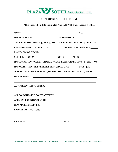

## **OUT OF RESIDENCE FORM**

#### **\*This Form Should Be Completed And Left With The Manager's Office**

| APT KEYS FRONT DESK? [ ] YES [ ] NO CAR KEYS FRONT DESK? [ ] YES [ ] NO          |                                                                                  |  |  |  |  |  |  |
|----------------------------------------------------------------------------------|----------------------------------------------------------------------------------|--|--|--|--|--|--|
| CAR IN GARAGE? [] YES [] NO                                                      | <b>GARAGE PARKING SPACE</b>                                                      |  |  |  |  |  |  |
|                                                                                  |                                                                                  |  |  |  |  |  |  |
| SURVEILLANCE BY________________________KEYS?_________PHONE _____________________ |                                                                                  |  |  |  |  |  |  |
| HAS APARTMENT WATER (ORANGE VALVE) BEEN TURNED OFF? [] YES [] NO                 |                                                                                  |  |  |  |  |  |  |
| HAS WATER HEATER BREAKER BEEN TURNED OFF? [] YES [] NO                           |                                                                                  |  |  |  |  |  |  |
| WHERE CAN YOU BE REACHED, OR WHO SHOULD BE CONTACTED, IN CASE                    |                                                                                  |  |  |  |  |  |  |
|                                                                                  |                                                                                  |  |  |  |  |  |  |
|                                                                                  | ,我们也不会有一个人的人,我们也不会有一个人的人,我们也不会有一个人的人。""我们的人,我们也不会有一个人的人,我们也不会有一个人的人。""我们的人,我们也不会 |  |  |  |  |  |  |
| <u> 1989 - Andrea Barbara, Amerikaansk politiker († 1908)</u>                    |                                                                                  |  |  |  |  |  |  |
|                                                                                  |                                                                                  |  |  |  |  |  |  |
| NEW MAILING ADDRESS                                                              |                                                                                  |  |  |  |  |  |  |
|                                                                                  |                                                                                  |  |  |  |  |  |  |
| SIGNATURE DATE DATE                                                              |                                                                                  |  |  |  |  |  |  |

**4280 GALT OCEAN DRIVE FORT LAUDERDALE, FL 33308 PHONE: 954-565–0777 FAX: 954-561-3532**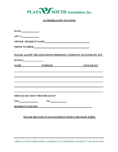

#### **AUTHORIZATION TO ENTER**

| DATE:                                                                                                                                                                                                                                                   |                                                                                                                       |  |  |  |  |  |  |
|---------------------------------------------------------------------------------------------------------------------------------------------------------------------------------------------------------------------------------------------------------|-----------------------------------------------------------------------------------------------------------------------|--|--|--|--|--|--|
| APT. #:                                                                                                                                                                                                                                                 |                                                                                                                       |  |  |  |  |  |  |
| OWNER / RESIDENT NAME:<br>PHONE NUMBER: The contract of the contract of the contract of the contract of the contract of the contract of the contract of the contract of the contract of the contract of the contract of the contract of the contract of |                                                                                                                       |  |  |  |  |  |  |
|                                                                                                                                                                                                                                                         |                                                                                                                       |  |  |  |  |  |  |
| $\text{DATE(s)}$                                                                                                                                                                                                                                        |                                                                                                                       |  |  |  |  |  |  |
|                                                                                                                                                                                                                                                         | <b>NAME PURPOSE GIVE KEYS?</b>                                                                                        |  |  |  |  |  |  |
|                                                                                                                                                                                                                                                         | ,我们也不会有什么。""我们的人,我们也不会有什么?""我们的人,我们也不会有什么?""我们的人,我们也不会有什么?""我们的人,我们也不会有什么?""我们的人                                      |  |  |  |  |  |  |
|                                                                                                                                                                                                                                                         | ,我们也不会有什么。""我们的人,我们也不会有什么?""我们的人,我们也不会有什么?""我们的人,我们也不会有什么?""我们的人,我们也不会有什么?""我们的人                                      |  |  |  |  |  |  |
|                                                                                                                                                                                                                                                         | ,我们也不会有什么。""我们的人,我们也不会有什么?""我们的人,我们也不会有什么?""我们的人,我们也不会有什么?""我们的人,我们也不会有什么?""我们的人                                      |  |  |  |  |  |  |
|                                                                                                                                                                                                                                                         | <u> 1989 - Jan Barat, margaret amerikan basa dan bahasa dan bahasa dalam basa dalam basa dalam basa dalam basa da</u> |  |  |  |  |  |  |
|                                                                                                                                                                                                                                                         | <b>SHOULD SECURITY PROVIDE KEYS?</b>                                                                                  |  |  |  |  |  |  |
|                                                                                                                                                                                                                                                         | $YES$ NO $NOS$                                                                                                        |  |  |  |  |  |  |
| <b>RESIDENT'S SIGNED</b>                                                                                                                                                                                                                                |                                                                                                                       |  |  |  |  |  |  |

#### **PLEASE DELIVER TO MANAGEMENT OFFICE OR EMAIL FORM.**